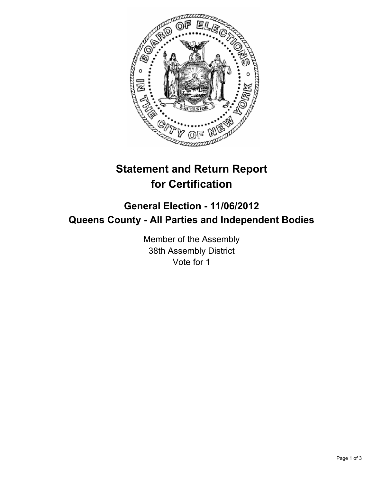

## **Statement and Return Report for Certification**

## **General Election - 11/06/2012 Queens County - All Parties and Independent Bodies**

Member of the Assembly 38th Assembly District Vote for 1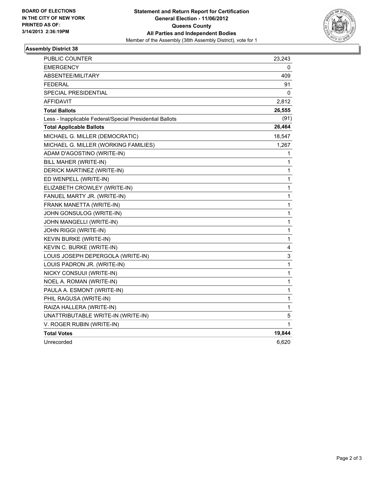

## **Assembly District 38**

| <b>PUBLIC COUNTER</b>                                    | 23,243 |
|----------------------------------------------------------|--------|
| <b>EMERGENCY</b>                                         | 0      |
| ABSENTEE/MILITARY                                        | 409    |
| <b>FEDERAL</b>                                           | 91     |
| SPECIAL PRESIDENTIAL                                     | 0      |
| AFFIDAVIT                                                | 2,812  |
| <b>Total Ballots</b>                                     | 26,555 |
| Less - Inapplicable Federal/Special Presidential Ballots | (91)   |
| <b>Total Applicable Ballots</b>                          | 26,464 |
| MICHAEL G. MILLER (DEMOCRATIC)                           | 18,547 |
| MICHAEL G. MILLER (WORKING FAMILIES)                     | 1,267  |
| ADAM D'AGOSTINO (WRITE-IN)                               | 1      |
| BILL MAHER (WRITE-IN)                                    | 1      |
| DERICK MARTINEZ (WRITE-IN)                               | 1      |
| ED WENPELL (WRITE-IN)                                    | 1      |
| ELIZABETH CROWLEY (WRITE-IN)                             | 1      |
| FANUEL MARTY JR. (WRITE-IN)                              | 1      |
| FRANK MANETTA (WRITE-IN)                                 | 1      |
| JOHN GONSULOG (WRITE-IN)                                 | 1      |
| JOHN MANGELLI (WRITE-IN)                                 | 1      |
| JOHN RIGGI (WRITE-IN)                                    | 1      |
| <b>KEVIN BURKE (WRITE-IN)</b>                            | 1      |
| KEVIN C. BURKE (WRITE-IN)                                | 4      |
| LOUIS JOSEPH DEPERGOLA (WRITE-IN)                        | 3      |
| LOUIS PADRON JR. (WRITE-IN)                              | 1      |
| NICKY CONSUUI (WRITE-IN)                                 | 1      |
| NOEL A. ROMAN (WRITE-IN)                                 | 1      |
| PAULA A. ESMONT (WRITE-IN)                               | 1      |
| PHIL RAGUSA (WRITE-IN)                                   | 1      |
| RAIZA HALLERA (WRITE-IN)                                 | 1      |
| UNATTRIBUTABLE WRITE-IN (WRITE-IN)                       | 5      |
| V. ROGER RUBIN (WRITE-IN)                                | 1      |
| <b>Total Votes</b>                                       | 19,844 |
| Unrecorded                                               | 6,620  |